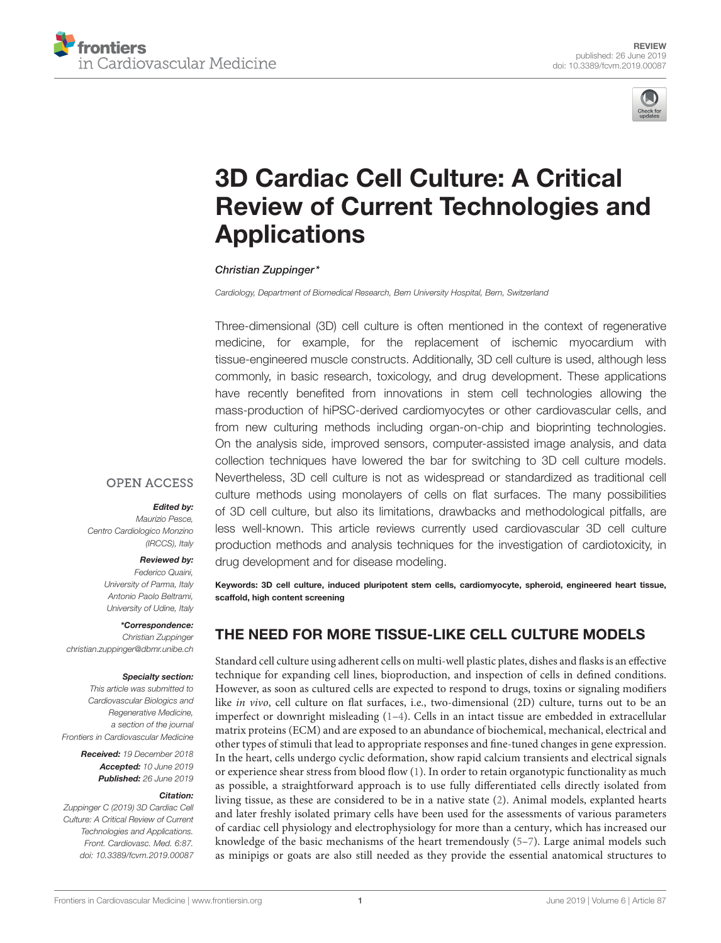



# 3D Cardiac Cell Culture: A Critical [Review of Current Technologies and](https://www.frontiersin.org/articles/10.3389/fcvm.2019.00087/full) **Applications**

#### [Christian Zuppinger\\*](http://loop.frontiersin.org/people/28820/overview)

*Cardiology, Department of Biomedical Research, Bern University Hospital, Bern, Switzerland*

Three-dimensional (3D) cell culture is often mentioned in the context of regenerative medicine, for example, for the replacement of ischemic myocardium with tissue-engineered muscle constructs. Additionally, 3D cell culture is used, although less commonly, in basic research, toxicology, and drug development. These applications have recently benefited from innovations in stem cell technologies allowing the mass-production of hiPSC-derived cardiomyocytes or other cardiovascular cells, and from new culturing methods including organ-on-chip and bioprinting technologies. On the analysis side, improved sensors, computer-assisted image analysis, and data collection techniques have lowered the bar for switching to 3D cell culture models. Nevertheless, 3D cell culture is not as widespread or standardized as traditional cell culture methods using monolayers of cells on flat surfaces. The many possibilities of 3D cell culture, but also its limitations, drawbacks and methodological pitfalls, are less well-known. This article reviews currently used cardiovascular 3D cell culture production methods and analysis techniques for the investigation of cardiotoxicity, in drug development and for disease modeling.

#### **OPEN ACCESS**

#### Edited by:

*Maurizio Pesce, Centro Cardiologico Monzino (IRCCS), Italy*

#### Reviewed by:

*Federico Quaini, University of Parma, Italy Antonio Paolo Beltrami, University of Udine, Italy*

\*Correspondence: *Christian Zuppinger [christian.zuppinger@dbmr.unibe.ch](mailto:christian.zuppinger@dbmr.unibe.ch)*

#### Specialty section:

*This article was submitted to Cardiovascular Biologics and Regenerative Medicine, a section of the journal Frontiers in Cardiovascular Medicine*

> Received: *19 December 2018* Accepted: *10 June 2019* Published: *26 June 2019*

#### Citation:

*Zuppinger C (2019) 3D Cardiac Cell Culture: A Critical Review of Current Technologies and Applications. Front. Cardiovasc. Med. 6:87. doi: [10.3389/fcvm.2019.00087](https://doi.org/10.3389/fcvm.2019.00087)*

Keywords: 3D cell culture, induced pluripotent stem cells, cardiomyocyte, spheroid, engineered heart tissue, scaffold, high content screening

#### THE NEED FOR MORE TISSUE-LIKE CELL CULTURE MODELS

Standard cell culture using adherent cells on multi-well plastic plates, dishes and flasks is an effective technique for expanding cell lines, bioproduction, and inspection of cells in defined conditions. However, as soon as cultured cells are expected to respond to drugs, toxins or signaling modifiers like in vivo, cell culture on flat surfaces, i.e., two-dimensional (2D) culture, turns out to be an imperfect or downright misleading  $(1-4)$  $(1-4)$ . Cells in an intact tissue are embedded in extracellular matrix proteins (ECM) and are exposed to an abundance of biochemical, mechanical, electrical and other types of stimuli that lead to appropriate responses and fine-tuned changes in gene expression. In the heart, cells undergo cyclic deformation, show rapid calcium transients and electrical signals or experience shear stress from blood flow [\(1\)](#page-5-0). In order to retain organotypic functionality as much as possible, a straightforward approach is to use fully differentiated cells directly isolated from living tissue, as these are considered to be in a native state [\(2\)](#page-5-2). Animal models, explanted hearts and later freshly isolated primary cells have been used for the assessments of various parameters of cardiac cell physiology and electrophysiology for more than a century, which has increased our knowledge of the basic mechanisms of the heart tremendously [\(5](#page-5-3)[–7\)](#page-6-0). Large animal models such as minipigs or goats are also still needed as they provide the essential anatomical structures to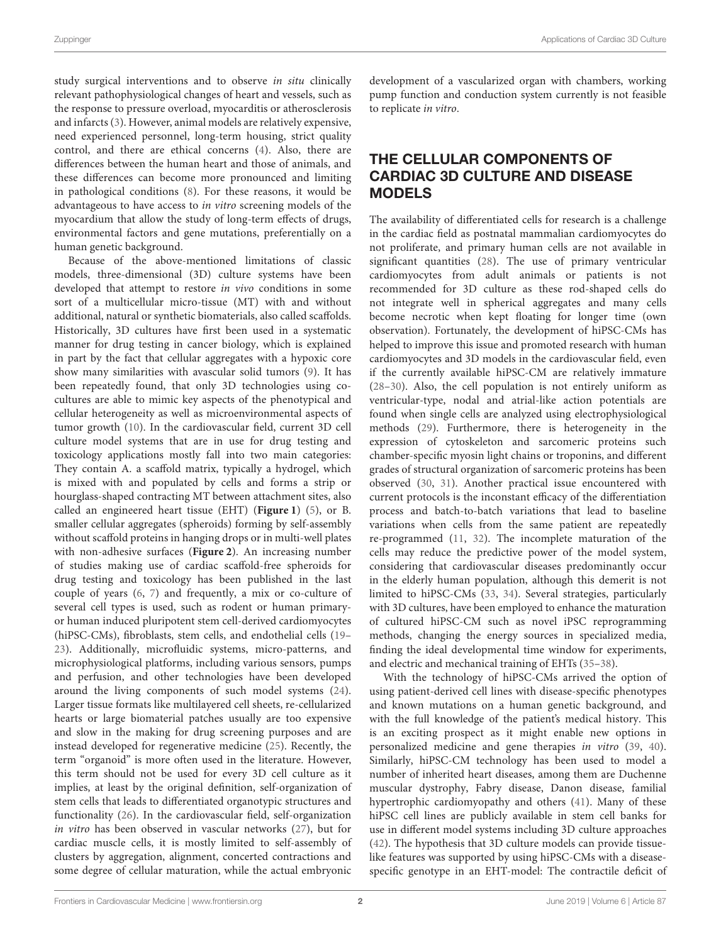study surgical interventions and to observe in situ clinically relevant pathophysiological changes of heart and vessels, such as the response to pressure overload, myocarditis or atherosclerosis and infarcts [\(3\)](#page-5-4). However, animal models are relatively expensive, need experienced personnel, long-term housing, strict quality control, and there are ethical concerns [\(4\)](#page-5-1). Also, there are differences between the human heart and those of animals, and these differences can become more pronounced and limiting in pathological conditions [\(8\)](#page-6-1). For these reasons, it would be advantageous to have access to in vitro screening models of the myocardium that allow the study of long-term effects of drugs, environmental factors and gene mutations, preferentially on a human genetic background.

Because of the above-mentioned limitations of classic models, three-dimensional (3D) culture systems have been developed that attempt to restore in vivo conditions in some sort of a multicellular micro-tissue (MT) with and without additional, natural or synthetic biomaterials, also called scaffolds. Historically, 3D cultures have first been used in a systematic manner for drug testing in cancer biology, which is explained in part by the fact that cellular aggregates with a hypoxic core show many similarities with avascular solid tumors [\(9\)](#page-6-2). It has been repeatedly found, that only 3D technologies using cocultures are able to mimic key aspects of the phenotypical and cellular heterogeneity as well as microenvironmental aspects of tumor growth [\(10\)](#page-6-3). In the cardiovascular field, current 3D cell culture model systems that are in use for drug testing and toxicology applications mostly fall into two main categories: They contain A. a scaffold matrix, typically a hydrogel, which is mixed with and populated by cells and forms a strip or hourglass-shaped contracting MT between attachment sites, also called an engineered heart tissue (EHT) (**[Figure 1](#page-2-0)**) [\(5\)](#page-5-3), or B. smaller cellular aggregates (spheroids) forming by self-assembly without scaffold proteins in hanging drops or in multi-well plates with non-adhesive surfaces (**[Figure 2](#page-2-1)**). An increasing number of studies making use of cardiac scaffold-free spheroids for drug testing and toxicology has been published in the last couple of years [\(6,](#page-6-4) [7\)](#page-6-0) and frequently, a mix or co-culture of several cell types is used, such as rodent or human primaryor human induced pluripotent stem cell-derived cardiomyocytes (hiPSC-CMs), fibroblasts, stem cells, and endothelial cells [\(19–](#page-6-5) [23\)](#page-6-6). Additionally, microfluidic systems, micro-patterns, and microphysiological platforms, including various sensors, pumps and perfusion, and other technologies have been developed around the living components of such model systems [\(24\)](#page-6-7). Larger tissue formats like multilayered cell sheets, re-cellularized hearts or large biomaterial patches usually are too expensive and slow in the making for drug screening purposes and are instead developed for regenerative medicine [\(25\)](#page-6-8). Recently, the term "organoid" is more often used in the literature. However, this term should not be used for every 3D cell culture as it implies, at least by the original definition, self-organization of stem cells that leads to differentiated organotypic structures and functionality [\(26\)](#page-6-9). In the cardiovascular field, self-organization in vitro has been observed in vascular networks [\(27\)](#page-6-10), but for cardiac muscle cells, it is mostly limited to self-assembly of clusters by aggregation, alignment, concerted contractions and some degree of cellular maturation, while the actual embryonic development of a vascularized organ with chambers, working pump function and conduction system currently is not feasible to replicate in vitro.

## THE CELLULAR COMPONENTS OF CARDIAC 3D CULTURE AND DISEASE MODELS

The availability of differentiated cells for research is a challenge in the cardiac field as postnatal mammalian cardiomyocytes do not proliferate, and primary human cells are not available in significant quantities [\(28\)](#page-6-11). The use of primary ventricular cardiomyocytes from adult animals or patients is not recommended for 3D culture as these rod-shaped cells do not integrate well in spherical aggregates and many cells become necrotic when kept floating for longer time (own observation). Fortunately, the development of hiPSC-CMs has helped to improve this issue and promoted research with human cardiomyocytes and 3D models in the cardiovascular field, even if the currently available hiPSC-CM are relatively immature [\(28](#page-6-11)[–30\)](#page-6-12). Also, the cell population is not entirely uniform as ventricular-type, nodal and atrial-like action potentials are found when single cells are analyzed using electrophysiological methods [\(29\)](#page-6-13). Furthermore, there is heterogeneity in the expression of cytoskeleton and sarcomeric proteins such chamber-specific myosin light chains or troponins, and different grades of structural organization of sarcomeric proteins has been observed [\(30,](#page-6-12) [31\)](#page-6-14). Another practical issue encountered with current protocols is the inconstant efficacy of the differentiation process and batch-to-batch variations that lead to baseline variations when cells from the same patient are repeatedly re-programmed [\(11,](#page-6-15) [32\)](#page-6-16). The incomplete maturation of the cells may reduce the predictive power of the model system, considering that cardiovascular diseases predominantly occur in the elderly human population, although this demerit is not limited to hiPSC-CMs [\(33,](#page-6-17) [34\)](#page-6-18). Several strategies, particularly with 3D cultures, have been employed to enhance the maturation of cultured hiPSC-CM such as novel iPSC reprogramming methods, changing the energy sources in specialized media, finding the ideal developmental time window for experiments, and electric and mechanical training of EHTs [\(35–](#page-6-19)[38\)](#page-6-20).

With the technology of hiPSC-CMs arrived the option of using patient-derived cell lines with disease-specific phenotypes and known mutations on a human genetic background, and with the full knowledge of the patient's medical history. This is an exciting prospect as it might enable new options in personalized medicine and gene therapies in vitro [\(39,](#page-6-21) [40\)](#page-6-22). Similarly, hiPSC-CM technology has been used to model a number of inherited heart diseases, among them are Duchenne muscular dystrophy, Fabry disease, Danon disease, familial hypertrophic cardiomyopathy and others [\(41\)](#page-6-23). Many of these hiPSC cell lines are publicly available in stem cell banks for use in different model systems including 3D culture approaches [\(42\)](#page-6-24). The hypothesis that 3D culture models can provide tissuelike features was supported by using hiPSC-CMs with a diseasespecific genotype in an EHT-model: The contractile deficit of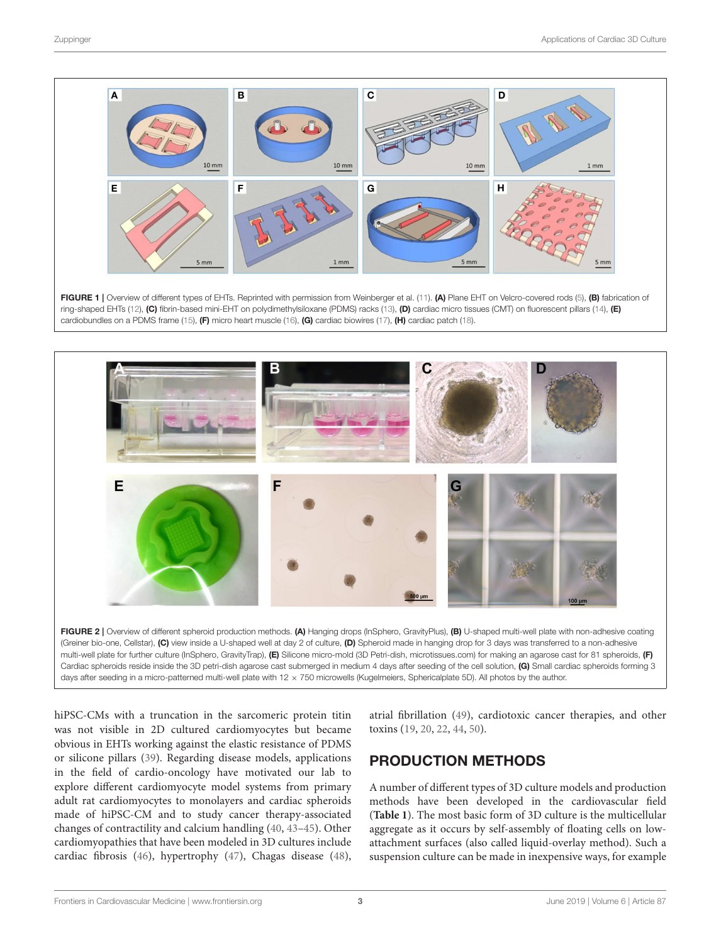

<span id="page-2-0"></span>

<span id="page-2-1"></span>multi-well plate for further culture (InSphero, GravityTrap), (E) Silicone micro-mold (3D Petri-dish, microtissues.com) for making an agarose cast for 81 spheroids, (F) Cardiac spheroids reside inside the 3D petri-dish agarose cast submerged in medium 4 days after seeding of the cell solution, (G) Small cardiac spheroids forming 3 days after seeding in a micro-patterned multi-well plate with 12 × 750 microwells (Kugelmeiers, Sphericalplate 5D). All photos by the author.

hiPSC-CMs with a truncation in the sarcomeric protein titin was not visible in 2D cultured cardiomyocytes but became obvious in EHTs working against the elastic resistance of PDMS or silicone pillars [\(39\)](#page-6-21). Regarding disease models, applications in the field of cardio-oncology have motivated our lab to explore different cardiomyocyte model systems from primary adult rat cardiomyocytes to monolayers and cardiac spheroids made of hiPSC-CM and to study cancer therapy-associated changes of contractility and calcium handling [\(40,](#page-6-22) [43–](#page-6-32)[45\)](#page-7-0). Other cardiomyopathies that have been modeled in 3D cultures include cardiac fibrosis [\(46\)](#page-7-1), hypertrophy [\(47\)](#page-7-2), Chagas disease [\(48\)](#page-7-3), atrial fibrillation [\(49\)](#page-7-4), cardiotoxic cancer therapies, and other toxins [\(19,](#page-6-5) [20,](#page-6-33) [22,](#page-6-34) [44,](#page-6-35) [50\)](#page-7-5).

### PRODUCTION METHODS

A number of different types of 3D culture models and production methods have been developed in the cardiovascular field (**[Table 1](#page-4-0)**). The most basic form of 3D culture is the multicellular aggregate as it occurs by self-assembly of floating cells on lowattachment surfaces (also called liquid-overlay method). Such a suspension culture can be made in inexpensive ways, for example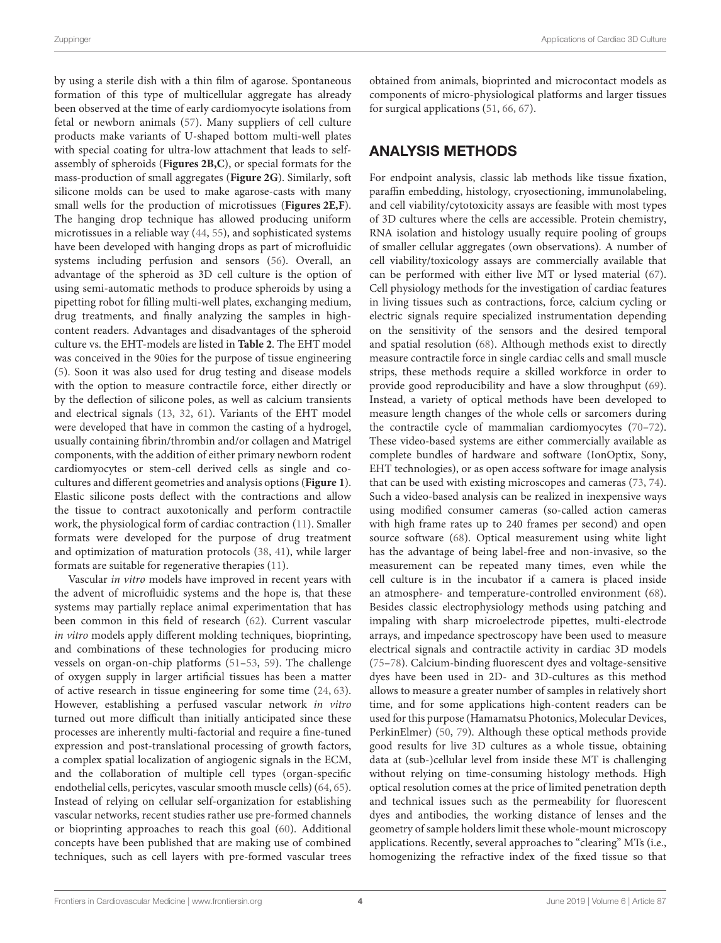by using a sterile dish with a thin film of agarose. Spontaneous formation of this type of multicellular aggregate has already been observed at the time of early cardiomyocyte isolations from fetal or newborn animals [\(57\)](#page-7-6). Many suppliers of cell culture products make variants of U-shaped bottom multi-well plates with special coating for ultra-low attachment that leads to selfassembly of spheroids (**[Figures 2B,C](#page-2-1)**), or special formats for the mass-production of small aggregates (**[Figure 2G](#page-2-1)**). Similarly, soft silicone molds can be used to make agarose-casts with many small wells for the production of microtissues (**[Figures 2E,F](#page-2-1)**). The hanging drop technique has allowed producing uniform microtissues in a reliable way [\(44,](#page-6-35) [55\)](#page-7-7), and sophisticated systems have been developed with hanging drops as part of microfluidic systems including perfusion and sensors [\(56\)](#page-7-8). Overall, an advantage of the spheroid as 3D cell culture is the option of using semi-automatic methods to produce spheroids by using a pipetting robot for filling multi-well plates, exchanging medium, drug treatments, and finally analyzing the samples in highcontent readers. Advantages and disadvantages of the spheroid culture vs. the EHT-models are listed in **[Table 2](#page-4-1)**. The EHT model was conceived in the 90ies for the purpose of tissue engineering [\(5\)](#page-5-3). Soon it was also used for drug testing and disease models with the option to measure contractile force, either directly or by the deflection of silicone poles, as well as calcium transients and electrical signals [\(13,](#page-6-26) [32,](#page-6-16) [61\)](#page-7-9). Variants of the EHT model were developed that have in common the casting of a hydrogel, usually containing fibrin/thrombin and/or collagen and Matrigel components, with the addition of either primary newborn rodent cardiomyocytes or stem-cell derived cells as single and cocultures and different geometries and analysis options (**[Figure 1](#page-2-0)**). Elastic silicone posts deflect with the contractions and allow the tissue to contract auxotonically and perform contractile work, the physiological form of cardiac contraction [\(11\)](#page-6-15). Smaller formats were developed for the purpose of drug treatment and optimization of maturation protocols [\(38,](#page-6-20) [41\)](#page-6-23), while larger formats are suitable for regenerative therapies [\(11\)](#page-6-15).

Vascular in vitro models have improved in recent years with the advent of microfluidic systems and the hope is, that these systems may partially replace animal experimentation that has been common in this field of research [\(62\)](#page-7-10). Current vascular in vitro models apply different molding techniques, bioprinting, and combinations of these technologies for producing micro vessels on organ-on-chip platforms [\(51](#page-7-11)[–53,](#page-7-12) [59\)](#page-7-13). The challenge of oxygen supply in larger artificial tissues has been a matter of active research in tissue engineering for some time [\(24,](#page-6-7) [63\)](#page-7-14). However, establishing a perfused vascular network in vitro turned out more difficult than initially anticipated since these processes are inherently multi-factorial and require a fine-tuned expression and post-translational processing of growth factors, a complex spatial localization of angiogenic signals in the ECM, and the collaboration of multiple cell types (organ-specific endothelial cells, pericytes, vascular smooth muscle cells) [\(64,](#page-7-15) [65\)](#page-7-16). Instead of relying on cellular self-organization for establishing vascular networks, recent studies rather use pre-formed channels or bioprinting approaches to reach this goal [\(60\)](#page-7-17). Additional concepts have been published that are making use of combined techniques, such as cell layers with pre-formed vascular trees obtained from animals, bioprinted and microcontact models as components of micro-physiological platforms and larger tissues for surgical applications [\(51,](#page-7-11) [66,](#page-7-18) [67\)](#page-7-19).

#### ANALYSIS METHODS

For endpoint analysis, classic lab methods like tissue fixation, paraffin embedding, histology, cryosectioning, immunolabeling, and cell viability/cytotoxicity assays are feasible with most types of 3D cultures where the cells are accessible. Protein chemistry, RNA isolation and histology usually require pooling of groups of smaller cellular aggregates (own observations). A number of cell viability/toxicology assays are commercially available that can be performed with either live MT or lysed material [\(67\)](#page-7-19). Cell physiology methods for the investigation of cardiac features in living tissues such as contractions, force, calcium cycling or electric signals require specialized instrumentation depending on the sensitivity of the sensors and the desired temporal and spatial resolution [\(68\)](#page-7-20). Although methods exist to directly measure contractile force in single cardiac cells and small muscle strips, these methods require a skilled workforce in order to provide good reproducibility and have a slow throughput [\(69\)](#page-7-21). Instead, a variety of optical methods have been developed to measure length changes of the whole cells or sarcomers during the contractile cycle of mammalian cardiomyocytes [\(70–](#page-7-22)[72\)](#page-7-23). These video-based systems are either commercially available as complete bundles of hardware and software (IonOptix, Sony, EHT technologies), or as open access software for image analysis that can be used with existing microscopes and cameras [\(73,](#page-7-24) [74\)](#page-7-25). Such a video-based analysis can be realized in inexpensive ways using modified consumer cameras (so-called action cameras with high frame rates up to 240 frames per second) and open source software [\(68\)](#page-7-20). Optical measurement using white light has the advantage of being label-free and non-invasive, so the measurement can be repeated many times, even while the cell culture is in the incubator if a camera is placed inside an atmosphere- and temperature-controlled environment [\(68\)](#page-7-20). Besides classic electrophysiology methods using patching and impaling with sharp microelectrode pipettes, multi-electrode arrays, and impedance spectroscopy have been used to measure electrical signals and contractile activity in cardiac 3D models [\(75](#page-7-26)[–78\)](#page-7-27). Calcium-binding fluorescent dyes and voltage-sensitive dyes have been used in 2D- and 3D-cultures as this method allows to measure a greater number of samples in relatively short time, and for some applications high-content readers can be used for this purpose (Hamamatsu Photonics, Molecular Devices, PerkinElmer) [\(50,](#page-7-5) [79\)](#page-7-28). Although these optical methods provide good results for live 3D cultures as a whole tissue, obtaining data at (sub-)cellular level from inside these MT is challenging without relying on time-consuming histology methods. High optical resolution comes at the price of limited penetration depth and technical issues such as the permeability for fluorescent dyes and antibodies, the working distance of lenses and the geometry of sample holders limit these whole-mount microscopy applications. Recently, several approaches to "clearing" MTs (i.e., homogenizing the refractive index of the fixed tissue so that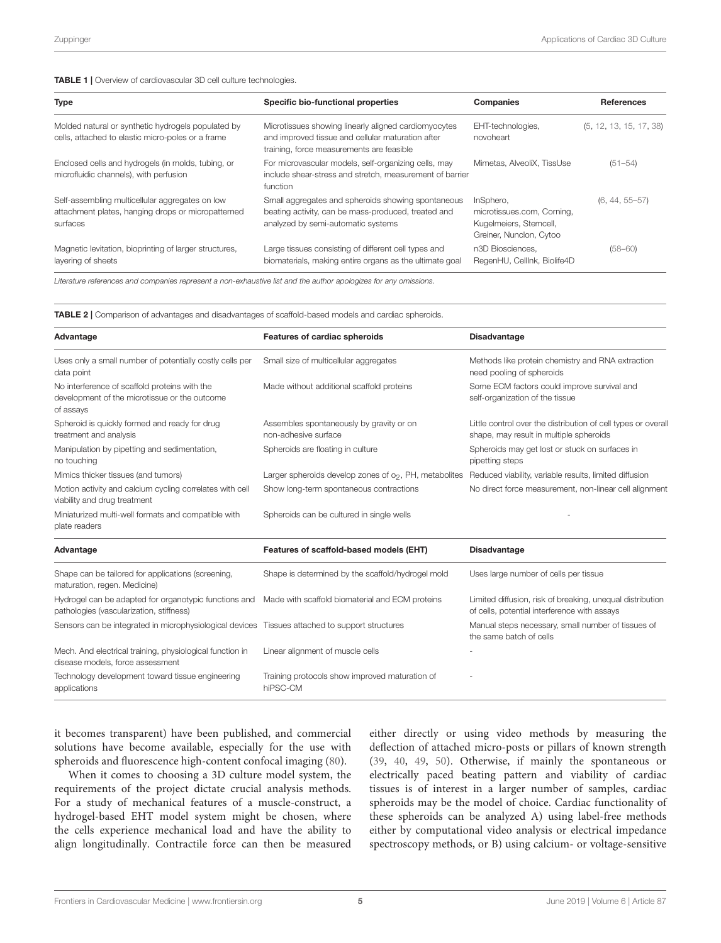<span id="page-4-0"></span>

| <b>Type</b>                                                                                                       | Specific bio-functional properties                                                                                                                     | Companies                                                                                    | <b>References</b>       |
|-------------------------------------------------------------------------------------------------------------------|--------------------------------------------------------------------------------------------------------------------------------------------------------|----------------------------------------------------------------------------------------------|-------------------------|
| Molded natural or synthetic hydrogels populated by<br>cells, attached to elastic micro-poles or a frame           | Microtissues showing linearly aligned cardiomyocytes<br>and improved tissue and cellular maturation after<br>training, force measurements are feasible | EHT-technologies,<br>novoheart                                                               | (5, 12, 13, 15, 17, 38) |
| Enclosed cells and hydrogels (in molds, tubing, or<br>microfluidic channels), with perfusion                      | For microvascular models, self-organizing cells, may<br>include shear-stress and stretch, measurement of barrier<br>function                           | Mimetas, AlveoliX, TissUse                                                                   | $(51 - 54)$             |
| Self-assembling multicellular aggregates on low<br>attachment plates, hanging drops or micropatterned<br>surfaces | Small aggregates and spheroids showing spontaneous<br>beating activity, can be mass-produced, treated and<br>analyzed by semi-automatic systems        | InSphero.<br>microtissues.com, Corning,<br>Kugelmeiers, Stemcell,<br>Greiner, Nunclon, Cytoo | $(6, 44, 55 - 57)$      |
| Magnetic levitation, bioprinting of larger structures,<br>layering of sheets                                      | Large tissues consisting of different cell types and<br>biomaterials, making entire organs as the ultimate goal                                        | n3D Biosciences.<br>RegenHU, CellInk, Biolife4D                                              | $(58 - 60)$             |

*Literature references and companies represent a non-exhaustive list and the author apologizes for any omissions.*

<span id="page-4-1"></span>TABLE 2 | Comparison of advantages and disadvantages of scaffold-based models and cardiac spheroids.

| Advantage                                                                                                   | Features of cardiac spheroids                                    | <b>Disadvantage</b>                                                                                       |  |
|-------------------------------------------------------------------------------------------------------------|------------------------------------------------------------------|-----------------------------------------------------------------------------------------------------------|--|
| Uses only a small number of potentially costly cells per<br>data point                                      | Small size of multicellular aggregates                           | Methods like protein chemistry and RNA extraction<br>need pooling of spheroids                            |  |
| No interference of scaffold proteins with the<br>development of the microtissue or the outcome<br>of assays | Made without additional scaffold proteins                        | Some ECM factors could improve survival and<br>self-organization of the tissue                            |  |
| Spheroid is quickly formed and ready for drug<br>treatment and analysis                                     | Assembles spontaneously by gravity or on<br>non-adhesive surface | Little control over the distribution of cell types or overall<br>shape, may result in multiple spheroids  |  |
| Manipulation by pipetting and sedimentation,<br>no touching                                                 | Spheroids are floating in culture                                | Spheroids may get lost or stuck on surfaces in<br>pipetting steps                                         |  |
| Mimics thicker tissues (and tumors)                                                                         | Larger spheroids develop zones of $o2$ , PH, metabolites         | Reduced viability, variable results, limited diffusion                                                    |  |
| Motion activity and calcium cycling correlates with cell<br>viability and drug treatment                    | Show long-term spontaneous contractions                          | No direct force measurement, non-linear cell alignment                                                    |  |
| Miniaturized multi-well formats and compatible with<br>plate readers                                        | Spheroids can be cultured in single wells                        |                                                                                                           |  |
| Advantage                                                                                                   | Features of scaffold-based models (EHT)                          | <b>Disadvantage</b>                                                                                       |  |
| Shape can be tailored for applications (screening,<br>maturation, regen. Medicine)                          | Shape is determined by the scaffold/hydrogel mold                | Uses large number of cells per tissue                                                                     |  |
| Hydrogel can be adapted for organotypic functions and<br>pathologies (vascularization, stiffness)           | Made with scaffold biomaterial and ECM proteins                  | Limited diffusion, risk of breaking, unequal distribution<br>of cells, potential interference with assays |  |
| Sensors can be integrated in microphysiological devices Tissues attached to support structures              |                                                                  | Manual steps necessary, small number of tissues of<br>the same batch of cells                             |  |
| Mech. And electrical training, physiological function in<br>disease models, force assessment                | Linear alignment of muscle cells                                 |                                                                                                           |  |
| Technology development toward tissue engineering<br>applications                                            | Training protocols show improved maturation of<br>hiPSC-CM       |                                                                                                           |  |

it becomes transparent) have been published, and commercial solutions have become available, especially for the use with spheroids and fluorescence high-content confocal imaging [\(80\)](#page-7-31).

When it comes to choosing a 3D culture model system, the requirements of the project dictate crucial analysis methods. For a study of mechanical features of a muscle-construct, a hydrogel-based EHT model system might be chosen, where the cells experience mechanical load and have the ability to align longitudinally. Contractile force can then be measured either directly or using video methods by measuring the deflection of attached micro-posts or pillars of known strength [\(39,](#page-6-21) [40,](#page-6-22) [49,](#page-7-4) [50\)](#page-7-5). Otherwise, if mainly the spontaneous or electrically paced beating pattern and viability of cardiac tissues is of interest in a larger number of samples, cardiac spheroids may be the model of choice. Cardiac functionality of these spheroids can be analyzed A) using label-free methods either by computational video analysis or electrical impedance spectroscopy methods, or B) using calcium- or voltage-sensitive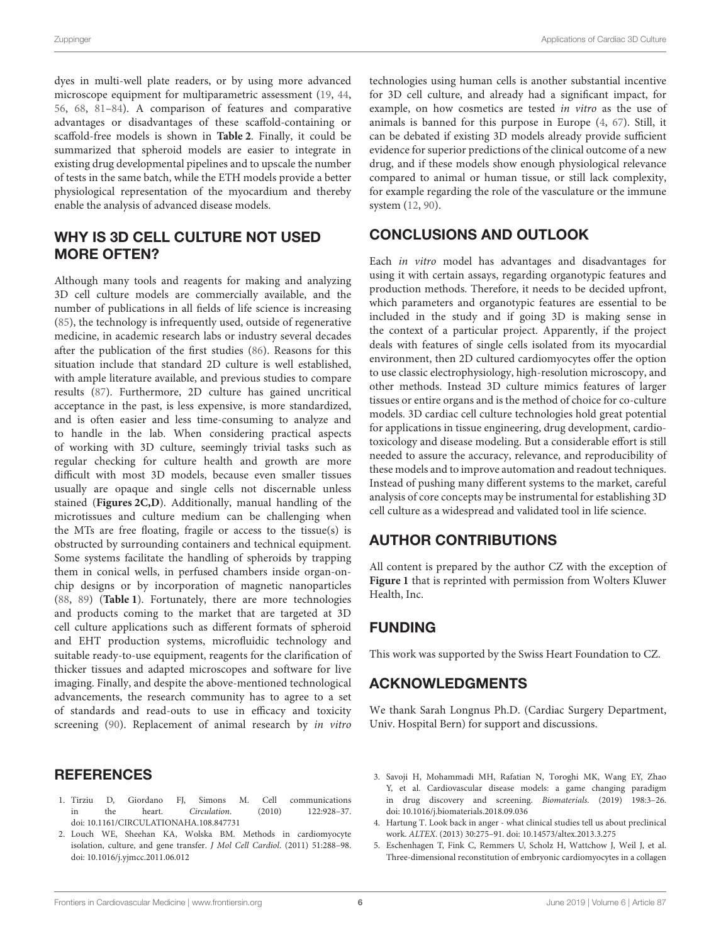dyes in multi-well plate readers, or by using more advanced microscope equipment for multiparametric assessment [\(19,](#page-6-5) [44,](#page-6-35) [56,](#page-7-8) [68,](#page-7-20) [81](#page-7-32)[–84\)](#page-8-0). A comparison of features and comparative advantages or disadvantages of these scaffold-containing or scaffold-free models is shown in **[Table 2](#page-4-1)**. Finally, it could be summarized that spheroid models are easier to integrate in existing drug developmental pipelines and to upscale the number of tests in the same batch, while the ETH models provide a better physiological representation of the myocardium and thereby enable the analysis of advanced disease models.

#### WHY IS 3D CELL CULTURE NOT USED MORE OFTEN?

Although many tools and reagents for making and analyzing 3D cell culture models are commercially available, and the number of publications in all fields of life science is increasing [\(85\)](#page-8-1), the technology is infrequently used, outside of regenerative medicine, in academic research labs or industry several decades after the publication of the first studies [\(86\)](#page-8-2). Reasons for this situation include that standard 2D culture is well established, with ample literature available, and previous studies to compare results [\(87\)](#page-8-3). Furthermore, 2D culture has gained uncritical acceptance in the past, is less expensive, is more standardized, and is often easier and less time-consuming to analyze and to handle in the lab. When considering practical aspects of working with 3D culture, seemingly trivial tasks such as regular checking for culture health and growth are more difficult with most 3D models, because even smaller tissues usually are opaque and single cells not discernable unless stained (**[Figures 2C,D](#page-2-1)**). Additionally, manual handling of the microtissues and culture medium can be challenging when the MTs are free floating, fragile or access to the tissue(s) is obstructed by surrounding containers and technical equipment. Some systems facilitate the handling of spheroids by trapping them in conical wells, in perfused chambers inside organ-onchip designs or by incorporation of magnetic nanoparticles [\(88,](#page-8-4) [89\)](#page-8-5) (**[Table 1](#page-4-0)**). Fortunately, there are more technologies and products coming to the market that are targeted at 3D cell culture applications such as different formats of spheroid and EHT production systems, microfluidic technology and suitable ready-to-use equipment, reagents for the clarification of thicker tissues and adapted microscopes and software for live imaging. Finally, and despite the above-mentioned technological advancements, the research community has to agree to a set of standards and read-outs to use in efficacy and toxicity screening [\(90\)](#page-8-6). Replacement of animal research by in vitro

#### **REFERENCES**

- <span id="page-5-0"></span>1. Tirziu D, Giordano FJ, Simons M. Cell communications in the heart. Circulation. (2010) 122:928–37. doi: [10.1161/CIRCULATIONAHA.108.847731](https://doi.org/10.1161/CIRCULATIONAHA.108.847731)
- <span id="page-5-2"></span>2. Louch WE, Sheehan KA, Wolska BM. Methods in cardiomyocyte isolation, culture, and gene transfer. J Mol Cell Cardiol. (2011) 51:288–98. doi: [10.1016/j.yjmcc.2011.06.012](https://doi.org/10.1016/j.yjmcc.2011.06.012)

technologies using human cells is another substantial incentive for 3D cell culture, and already had a significant impact, for example, on how cosmetics are tested in vitro as the use of animals is banned for this purpose in Europe [\(4,](#page-5-1) [67\)](#page-7-19). Still, it can be debated if existing 3D models already provide sufficient evidence for superior predictions of the clinical outcome of a new drug, and if these models show enough physiological relevance compared to animal or human tissue, or still lack complexity, for example regarding the role of the vasculature or the immune system [\(12,](#page-6-25) [90\)](#page-8-6).

# CONCLUSIONS AND OUTLOOK

Each in vitro model has advantages and disadvantages for using it with certain assays, regarding organotypic features and production methods. Therefore, it needs to be decided upfront, which parameters and organotypic features are essential to be included in the study and if going 3D is making sense in the context of a particular project. Apparently, if the project deals with features of single cells isolated from its myocardial environment, then 2D cultured cardiomyocytes offer the option to use classic electrophysiology, high-resolution microscopy, and other methods. Instead 3D culture mimics features of larger tissues or entire organs and is the method of choice for co-culture models. 3D cardiac cell culture technologies hold great potential for applications in tissue engineering, drug development, cardiotoxicology and disease modeling. But a considerable effort is still needed to assure the accuracy, relevance, and reproducibility of these models and to improve automation and readout techniques. Instead of pushing many different systems to the market, careful analysis of core concepts may be instrumental for establishing 3D cell culture as a widespread and validated tool in life science.

## AUTHOR CONTRIBUTIONS

All content is prepared by the author CZ with the exception of **[Figure 1](#page-2-0)** that is reprinted with permission from Wolters Kluwer Health, Inc.

# FUNDING

This work was supported by the Swiss Heart Foundation to CZ.

## ACKNOWLEDGMENTS

We thank Sarah Longnus Ph.D. (Cardiac Surgery Department, Univ. Hospital Bern) for support and discussions.

- <span id="page-5-4"></span>3. Savoji H, Mohammadi MH, Rafatian N, Toroghi MK, Wang EY, Zhao Y, et al. Cardiovascular disease models: a game changing paradigm in drug discovery and screening. Biomaterials. (2019) 198:3–26. doi: [10.1016/j.biomaterials.2018.09.036](https://doi.org/10.1016/j.biomaterials.2018.09.036)
- <span id="page-5-1"></span>4. Hartung T. Look back in anger - what clinical studies tell us about preclinical work. ALTEX. (2013) 30:275–91. doi: [10.14573/altex.2013.3.275](https://doi.org/10.14573/altex.2013.3.275)
- <span id="page-5-3"></span>5. Eschenhagen T, Fink C, Remmers U, Scholz H, Wattchow J, Weil J, et al. Three-dimensional reconstitution of embryonic cardiomyocytes in a collagen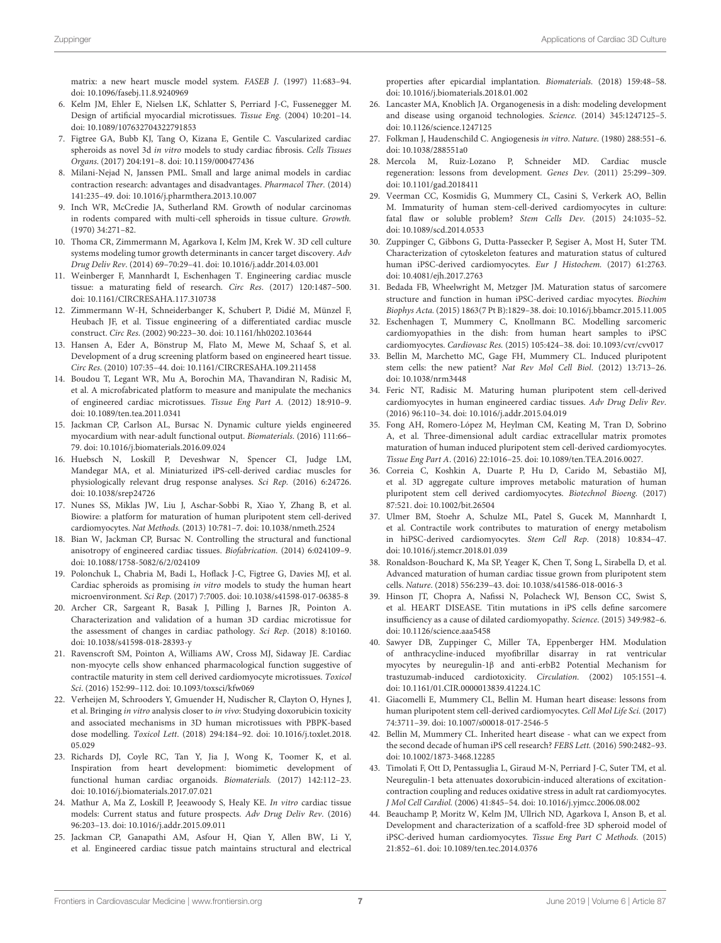matrix: a new heart muscle model system. FASEB J. (1997) 11:683–94. doi: [10.1096/fasebj.11.8.9240969](https://doi.org/10.1096/fasebj.11.8.9240969)

- <span id="page-6-4"></span>6. Kelm JM, Ehler E, Nielsen LK, Schlatter S, Perriard J-C, Fussenegger M. Design of artificial myocardial microtissues. Tissue Eng. (2004) 10:201–14. doi: [10.1089/107632704322791853](https://doi.org/10.1089/107632704322791853)
- <span id="page-6-0"></span>7. Figtree GA, Bubb KJ, Tang O, Kizana E, Gentile C. Vascularized cardiac spheroids as novel 3d in vitro models to study cardiac fibrosis. Cells Tissues Organs. (2017) 204:191–8. doi: [10.1159/000477436](https://doi.org/10.1159/000477436)
- <span id="page-6-1"></span>8. Milani-Nejad N, Janssen PML. Small and large animal models in cardiac contraction research: advantages and disadvantages. Pharmacol Ther. (2014) 141:235–49. doi: [10.1016/j.pharmthera.2013.10.007](https://doi.org/10.1016/j.pharmthera.2013.10.007)
- <span id="page-6-2"></span>9. Inch WR, McCredie JA, Sutherland RM. Growth of nodular carcinomas in rodents compared with multi-cell spheroids in tissue culture. Growth. (1970) 34:271–82.
- <span id="page-6-3"></span>10. Thoma CR, Zimmermann M, Agarkova I, Kelm JM, Krek W. 3D cell culture systems modeling tumor growth determinants in cancer target discovery. Adv Drug Deliv Rev. (2014) 69–70:29–41. doi: [10.1016/j.addr.2014.03.001](https://doi.org/10.1016/j.addr.2014.03.001)
- <span id="page-6-15"></span>11. Weinberger F, Mannhardt I, Eschenhagen T. Engineering cardiac muscle tissue: a maturating field of research. Circ Res. (2017) 120:1487–500. doi: [10.1161/CIRCRESAHA.117.310738](https://doi.org/10.1161/CIRCRESAHA.117.310738)
- <span id="page-6-25"></span>12. Zimmermann W-H, Schneiderbanger K, Schubert P, Didié M, Münzel F, Heubach JF, et al. Tissue engineering of a differentiated cardiac muscle construct. Circ Res. (2002) 90:223–30. doi: [10.1161/hh0202.103644](https://doi.org/10.1161/hh0202.103644)
- <span id="page-6-26"></span>13. Hansen A, Eder A, Bönstrup M, Flato M, Mewe M, Schaaf S, et al. Development of a drug screening platform based on engineered heart tissue. Circ Res. (2010) 107:35–44. doi: [10.1161/CIRCRESAHA.109.211458](https://doi.org/10.1161/CIRCRESAHA.109.211458)
- <span id="page-6-27"></span>14. Boudou T, Legant WR, Mu A, Borochin MA, Thavandiran N, Radisic M, et al. A microfabricated platform to measure and manipulate the mechanics of engineered cardiac microtissues. Tissue Eng Part A. (2012) 18:910–9. doi: [10.1089/ten.tea.2011.0341](https://doi.org/10.1089/ten.tea.2011.0341)
- <span id="page-6-28"></span>15. Jackman CP, Carlson AL, Bursac N. Dynamic culture yields engineered myocardium with near-adult functional output. Biomaterials. (2016) 111:66– 79. doi: [10.1016/j.biomaterials.2016.09.024](https://doi.org/10.1016/j.biomaterials.2016.09.024)
- <span id="page-6-29"></span>16. Huebsch N, Loskill P, Deveshwar N, Spencer CI, Judge LM, Mandegar MA, et al. Miniaturized iPS-cell-derived cardiac muscles for physiologically relevant drug response analyses. Sci Rep. (2016) 6:24726. doi: [10.1038/srep24726](https://doi.org/10.1038/srep24726)
- <span id="page-6-30"></span>17. Nunes SS, Miklas JW, Liu J, Aschar-Sobbi R, Xiao Y, Zhang B, et al. Biowire: a platform for maturation of human pluripotent stem cell-derived cardiomyocytes. Nat Methods. (2013) 10:781–7. doi: [10.1038/nmeth.2524](https://doi.org/10.1038/nmeth.2524)
- <span id="page-6-31"></span>18. Bian W, Jackman CP, Bursac N. Controlling the structural and functional anisotropy of engineered cardiac tissues. Biofabrication. (2014) 6:024109–9. doi: [10.1088/1758-5082/6/2/024109](https://doi.org/10.1088/1758-5082/6/2/024109)
- <span id="page-6-5"></span>19. Polonchuk L, Chabria M, Badi L, Hoflack J-C, Figtree G, Davies MJ, et al. Cardiac spheroids as promising in vitro models to study the human heart microenvironment. Sci Rep. (2017) 7:7005. doi: [10.1038/s41598-017-06385-8](https://doi.org/10.1038/s41598-017-06385-8)
- <span id="page-6-33"></span>20. Archer CR, Sargeant R, Basak J, Pilling J, Barnes JR, Pointon A. Characterization and validation of a human 3D cardiac microtissue for the assessment of changes in cardiac pathology. Sci Rep. (2018) 8:10160. doi: [10.1038/s41598-018-28393-y](https://doi.org/10.1038/s41598-018-28393-y)
- 21. Ravenscroft SM, Pointon A, Williams AW, Cross MJ, Sidaway JE. Cardiac non-myocyte cells show enhanced pharmacological function suggestive of contractile maturity in stem cell derived cardiomyocyte microtissues. Toxicol Sci. (2016) 152:99–112. doi: [10.1093/toxsci/kfw069](https://doi.org/10.1093/toxsci/kfw069)
- <span id="page-6-34"></span>22. Verheijen M, Schrooders Y, Gmuender H, Nudischer R, Clayton O, Hynes J, et al. Bringing in vitro analysis closer to in vivo: Studying doxorubicin toxicity and associated mechanisms in 3D human microtissues with PBPK-based dose modelling. Toxicol Lett[. \(2018\) 294:184–92. doi: 10.1016/j.toxlet.2018.](https://doi.org/10.1016/j.toxlet.2018.05.029) 05.029
- <span id="page-6-6"></span>23. Richards DJ, Coyle RC, Tan Y, Jia J, Wong K, Toomer K, et al. Inspiration from heart development: biomimetic development of functional human cardiac organoids. Biomaterials. (2017) 142:112–23. doi: [10.1016/j.biomaterials.2017.07.021](https://doi.org/10.1016/j.biomaterials.2017.07.021)
- <span id="page-6-7"></span>24. Mathur A, Ma Z, Loskill P, Jeeawoody S, Healy KE. In vitro cardiac tissue models: Current status and future prospects. Adv Drug Deliv Rev. (2016) 96:203–13. doi: [10.1016/j.addr.2015.09.011](https://doi.org/10.1016/j.addr.2015.09.011)
- <span id="page-6-8"></span>25. Jackman CP, Ganapathi AM, Asfour H, Qian Y, Allen BW, Li Y, et al. Engineered cardiac tissue patch maintains structural and electrical

properties after epicardial implantation. Biomaterials. (2018) 159:48–58. doi: [10.1016/j.biomaterials.2018.01.002](https://doi.org/10.1016/j.biomaterials.2018.01.002)

- <span id="page-6-9"></span>26. Lancaster MA, Knoblich JA. Organogenesis in a dish: modeling development and disease using organoid technologies. Science. (2014) 345:1247125–5. doi: [10.1126/science.1247125](https://doi.org/10.1126/science.1247125)
- <span id="page-6-10"></span>27. Folkman J, Haudenschild C. Angiogenesis in vitro. Nature. (1980) 288:551–6. doi: [10.1038/288551a0](https://doi.org/10.1038/288551a0)
- <span id="page-6-11"></span>28. Mercola M, Ruiz-Lozano P, Schneider MD. Cardiac muscle regeneration: lessons from development. Genes Dev. (2011) 25:299–309. doi: [10.1101/gad.2018411](https://doi.org/10.1101/gad.2018411)
- <span id="page-6-13"></span>29. Veerman CC, Kosmidis G, Mummery CL, Casini S, Verkerk AO, Bellin M. Immaturity of human stem-cell-derived cardiomyocytes in culture: fatal flaw or soluble problem? Stem Cells Dev. (2015) 24:1035–52. doi: [10.1089/scd.2014.0533](https://doi.org/10.1089/scd.2014.0533)
- <span id="page-6-12"></span>30. Zuppinger C, Gibbons G, Dutta-Passecker P, Segiser A, Most H, Suter TM. Characterization of cytoskeleton features and maturation status of cultured human iPSC-derived cardiomyocytes. Eur J Histochem. (2017) 61:2763. doi: [10.4081/ejh.2017.2763](https://doi.org/10.4081/ejh.2017.2763)
- <span id="page-6-14"></span>31. Bedada FB, Wheelwright M, Metzger JM. Maturation status of sarcomere structure and function in human iPSC-derived cardiac myocytes. Biochim Biophys Acta. (2015) 1863(7 Pt B):1829–38. doi: [10.1016/j.bbamcr.2015.11.005](https://doi.org/10.1016/j.bbamcr.2015.11.005)
- <span id="page-6-16"></span>32. Eschenhagen T, Mummery C, Knollmann BC. Modelling sarcomeric cardiomyopathies in the dish: from human heart samples to iPSC cardiomyocytes. Cardiovasc Res. (2015) 105:424–38. doi: [10.1093/cvr/cvv017](https://doi.org/10.1093/cvr/cvv017)
- <span id="page-6-17"></span>33. Bellin M, Marchetto MC, Gage FH, Mummery CL. Induced pluripotent stem cells: the new patient? Nat Rev Mol Cell Biol. (2012) 13:713–26. doi: [10.1038/nrm3448](https://doi.org/10.1038/nrm3448)
- <span id="page-6-18"></span>34. Feric NT, Radisic M. Maturing human pluripotent stem cell-derived cardiomyocytes in human engineered cardiac tissues. Adv Drug Deliv Rev. (2016) 96:110–34. doi: [10.1016/j.addr.2015.04.019](https://doi.org/10.1016/j.addr.2015.04.019)
- <span id="page-6-19"></span>35. Fong AH, Romero-López M, Heylman CM, Keating M, Tran D, Sobrino A, et al. Three-dimensional adult cardiac extracellular matrix promotes maturation of human induced pluripotent stem cell-derived cardiomyocytes. Tissue Eng Part A. (2016) 22:1016–25. doi: [10.1089/ten.TEA.2016.0027.](https://doi.org/10.1089/ten.TEA.2016.0027.)
- 36. Correia C, Koshkin A, Duarte P, Hu D, Carido M, Sebastião MJ, et al. 3D aggregate culture improves metabolic maturation of human pluripotent stem cell derived cardiomyocytes. Biotechnol Bioeng. (2017) 87:521. doi: [10.1002/bit.26504](https://doi.org/10.1002/bit.26504)
- 37. Ulmer BM, Stoehr A, Schulze ML, Patel S, Gucek M, Mannhardt I, et al. Contractile work contributes to maturation of energy metabolism in hiPSC-derived cardiomyocytes. Stem Cell Rep. (2018) 10:834–47. doi: [10.1016/j.stemcr.2018.01.039](https://doi.org/10.1016/j.stemcr.2018.01.039)
- <span id="page-6-20"></span>38. Ronaldson-Bouchard K, Ma SP, Yeager K, Chen T, Song L, Sirabella D, et al. Advanced maturation of human cardiac tissue grown from pluripotent stem cells. Nature. (2018) 556:239–43. doi: [10.1038/s41586-018-0016-3](https://doi.org/10.1038/s41586-018-0016-3)
- <span id="page-6-21"></span>39. Hinson JT, Chopra A, Nafissi N, Polacheck WJ, Benson CC, Swist S, et al. HEART DISEASE. Titin mutations in iPS cells define sarcomere insufficiency as a cause of dilated cardiomyopathy. Science. (2015) 349:982–6. doi: [10.1126/science.aaa5458](https://doi.org/10.1126/science.aaa5458)
- <span id="page-6-22"></span>40. Sawyer DB, Zuppinger C, Miller TA, Eppenberger HM. Modulation of anthracycline-induced myofibrillar disarray in rat ventricular myocytes by neuregulin-1β and anti-erbB2 Potential Mechanism for trastuzumab-induced cardiotoxicity. Circulation. (2002) 105:1551–4. doi: [10.1161/01.CIR.0000013839.41224.1C](https://doi.org/10.1161/01.CIR.0000013839.41224.1C)
- <span id="page-6-23"></span>41. Giacomelli E, Mummery CL, Bellin M. Human heart disease: lessons from human pluripotent stem cell-derived cardiomyocytes. Cell Mol Life Sci. (2017) 74:3711–39. doi: [10.1007/s00018-017-2546-5](https://doi.org/10.1007/s00018-017-2546-5)
- <span id="page-6-24"></span>42. Bellin M, Mummery CL. Inherited heart disease - what can we expect from the second decade of human iPS cell research? FEBS Lett. (2016) 590:2482–93. doi: [10.1002/1873-3468.12285](https://doi.org/10.1002/1873-3468.12285)
- <span id="page-6-32"></span>43. Timolati F, Ott D, Pentassuglia L, Giraud M-N, Perriard J-C, Suter TM, et al. Neuregulin-1 beta attenuates doxorubicin-induced alterations of excitationcontraction coupling and reduces oxidative stress in adult rat cardiomyocytes. J Mol Cell Cardiol. (2006) 41:845–54. doi: [10.1016/j.yjmcc.2006.08.002](https://doi.org/10.1016/j.yjmcc.2006.08.002)
- <span id="page-6-35"></span>44. Beauchamp P, Moritz W, Kelm JM, Ullrich ND, Agarkova I, Anson B, et al. Development and characterization of a scaffold-free 3D spheroid model of iPSC-derived human cardiomyocytes. Tissue Eng Part C Methods. (2015) 21:852–61. doi: [10.1089/ten.tec.2014.0376](https://doi.org/10.1089/ten.tec.2014.0376)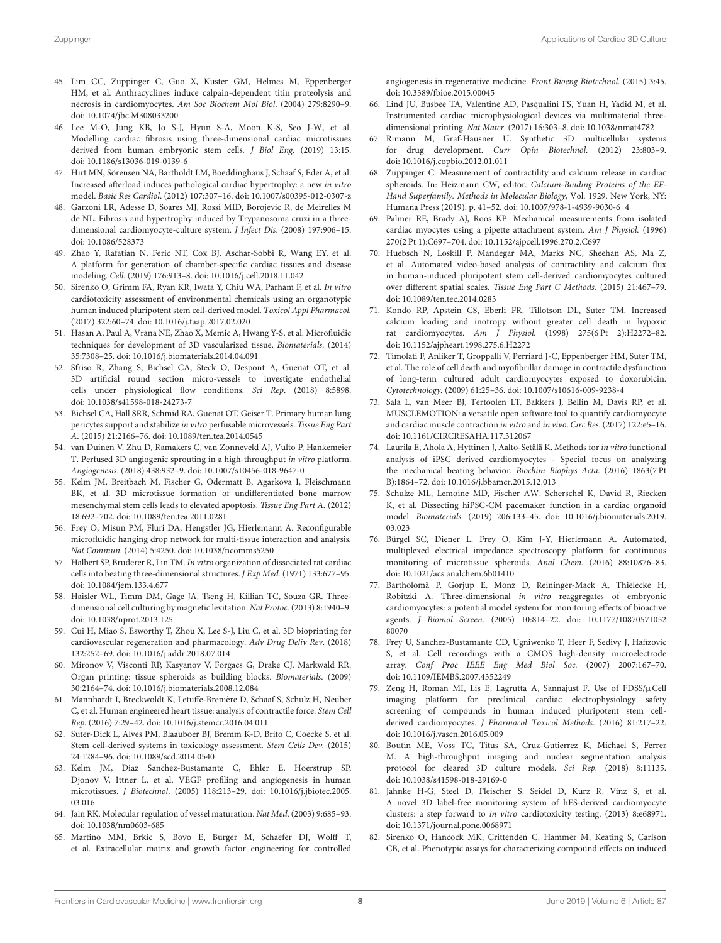- <span id="page-7-0"></span>45. Lim CC, Zuppinger C, Guo X, Kuster GM, Helmes M, Eppenberger HM, et al. Anthracyclines induce calpain-dependent titin proteolysis and necrosis in cardiomyocytes. Am Soc Biochem Mol Biol. (2004) 279:8290–9. doi: [10.1074/jbc.M308033200](https://doi.org/10.1074/jbc.M308033200)
- <span id="page-7-1"></span>46. Lee M-O, Jung KB, Jo S-J, Hyun S-A, Moon K-S, Seo J-W, et al. Modelling cardiac fibrosis using three-dimensional cardiac microtissues derived from human embryonic stem cells. J Biol Eng. (2019) 13:15. doi: [10.1186/s13036-019-0139-6](https://doi.org/10.1186/s13036-019-0139-6)
- <span id="page-7-2"></span>47. Hirt MN, Sörensen NA, Bartholdt LM, Boeddinghaus J, Schaaf S, Eder A, et al. Increased afterload induces pathological cardiac hypertrophy: a new in vitro model. Basic Res Cardiol. (2012) 107:307–16. doi: [10.1007/s00395-012-0307-z](https://doi.org/10.1007/s00395-012-0307-z)
- <span id="page-7-3"></span>48. Garzoni LR, Adesse D, Soares MJ, Rossi MID, Borojevic R, de Meirelles M de NL. Fibrosis and hypertrophy induced by Trypanosoma cruzi in a threedimensional cardiomyocyte-culture system. J Infect Dis. (2008) 197:906–15. doi: [10.1086/528373](https://doi.org/10.1086/528373)
- <span id="page-7-4"></span>49. Zhao Y, Rafatian N, Feric NT, Cox BJ, Aschar-Sobbi R, Wang EY, et al. A platform for generation of chamber-specific cardiac tissues and disease modeling. Cell. (2019) 176:913–8. doi: [10.1016/j.cell.2018.11.042](https://doi.org/10.1016/j.cell.2018.11.042)
- <span id="page-7-5"></span>50. Sirenko O, Grimm FA, Ryan KR, Iwata Y, Chiu WA, Parham F, et al. In vitro cardiotoxicity assessment of environmental chemicals using an organotypic human induced pluripotent stem cell-derived model. Toxicol Appl Pharmacol. (2017) 322:60–74. doi: [10.1016/j.taap.2017.02.020](https://doi.org/10.1016/j.taap.2017.02.020)
- <span id="page-7-11"></span>51. Hasan A, Paul A, Vrana NE, Zhao X, Memic A, Hwang Y-S, et al. Microfluidic techniques for development of 3D vascularized tissue. Biomaterials. (2014) 35:7308–25. doi: [10.1016/j.biomaterials.2014.04.091](https://doi.org/10.1016/j.biomaterials.2014.04.091)
- 52. Sfriso R, Zhang S, Bichsel CA, Steck O, Despont A, Guenat OT, et al. 3D artificial round section micro-vessels to investigate endothelial cells under physiological flow conditions. Sci Rep. (2018) 8:5898. doi: [10.1038/s41598-018-24273-7](https://doi.org/10.1038/s41598-018-24273-7)
- <span id="page-7-12"></span>53. Bichsel CA, Hall SRR, Schmid RA, Guenat OT, Geiser T. Primary human lung pericytes support and stabilize in vitro perfusable microvessels. Tissue Eng Part A. (2015) 21:2166–76. doi: [10.1089/ten.tea.2014.0545](https://doi.org/10.1089/ten.tea.2014.0545)
- <span id="page-7-29"></span>54. van Duinen V, Zhu D, Ramakers C, van Zonneveld AJ, Vulto P, Hankemeier T. Perfused 3D angiogenic sprouting in a high-throughput in vitro platform. Angiogenesis. (2018) 438:932–9. doi: [10.1007/s10456-018-9647-0](https://doi.org/10.1007/s10456-018-9647-0)
- <span id="page-7-7"></span>55. Kelm JM, Breitbach M, Fischer G, Odermatt B, Agarkova I, Fleischmann BK, et al. 3D microtissue formation of undifferentiated bone marrow mesenchymal stem cells leads to elevated apoptosis. Tissue Eng Part A. (2012) 18:692–702. doi: [10.1089/ten.tea.2011.0281](https://doi.org/10.1089/ten.tea.2011.0281)
- <span id="page-7-8"></span>56. Frey O, Misun PM, Fluri DA, Hengstler JG, Hierlemann A. Reconfigurable microfluidic hanging drop network for multi-tissue interaction and analysis. Nat Commun. (2014) 5:4250. doi: [10.1038/ncomms5250](https://doi.org/10.1038/ncomms5250)
- <span id="page-7-6"></span>57. Halbert SP, Bruderer R, Lin TM. In vitro organization of dissociated rat cardiac cells into beating three-dimensional structures. J Exp Med. (1971) 133:677–95. doi: [10.1084/jem.133.4.677](https://doi.org/10.1084/jem.133.4.677)
- <span id="page-7-30"></span>Haisler WL, Timm DM, Gage JA, Tseng H, Killian TC, Souza GR. Threedimensional cell culturing by magnetic levitation. Nat Protoc. (2013) 8:1940–9. doi: [10.1038/nprot.2013.125](https://doi.org/10.1038/nprot.2013.125~)
- <span id="page-7-13"></span>59. Cui H, Miao S, Esworthy T, Zhou X, Lee S-J, Liu C, et al. 3D bioprinting for cardiovascular regeneration and pharmacology. Adv Drug Deliv Rev. (2018) 132:252–69. doi: [10.1016/j.addr.2018.07.014](https://doi.org/10.1016/j.addr.2018.07.014)
- <span id="page-7-17"></span>60. Mironov V, Visconti RP, Kasyanov V, Forgacs G, Drake CJ, Markwald RR. Organ printing: tissue spheroids as building blocks. Biomaterials. (2009) 30:2164–74. doi: [10.1016/j.biomaterials.2008.12.084](https://doi.org/10.1016/j.biomaterials.2008.12.084)
- <span id="page-7-9"></span>61. Mannhardt I, Breckwoldt K, Letuffe-Brenière D, Schaaf S, Schulz H, Neuber C, et al. Human engineered heart tissue: analysis of contractile force. Stem Cell Rep. (2016) 7:29–42. doi: [10.1016/j.stemcr.2016.04.011](https://doi.org/10.1016/j.stemcr.2016.04.011)
- <span id="page-7-10"></span>62. Suter-Dick L, Alves PM, Blaauboer BJ, Bremm K-D, Brito C, Coecke S, et al. Stem cell-derived systems in toxicology assessment. Stem Cells Dev. (2015) 24:1284–96. doi: [10.1089/scd.2014.0540](https://doi.org/10.1089/scd.2014.0540)
- <span id="page-7-14"></span>63. Kelm JM, Diaz Sanchez-Bustamante C, Ehler E, Hoerstrup SP, Djonov V, Ittner L, et al. VEGF profiling and angiogenesis in human microtissues. J Biotechnol[. \(2005\) 118:213–29. doi: 10.1016/j.jbiotec.2005.](https://doi.org/10.1016/j.jbiotec.2005.03.016) 03.016
- <span id="page-7-15"></span>64. Jain RK. Molecular regulation of vessel maturation. Nat Med. (2003) 9:685–93. doi: [10.1038/nm0603-685](https://doi.org/10.1038/nm0603-685)
- <span id="page-7-16"></span>65. Martino MM, Brkic S, Bovo E, Burger M, Schaefer DJ, Wolff T, et al. Extracellular matrix and growth factor engineering for controlled

angiogenesis in regenerative medicine. Front Bioeng Biotechnol. (2015) 3:45. doi: [10.3389/fbioe.2015.00045](https://doi.org/10.3389/fbioe.2015.00045)

- <span id="page-7-18"></span>66. Lind JU, Busbee TA, Valentine AD, Pasqualini FS, Yuan H, Yadid M, et al. Instrumented cardiac microphysiological devices via multimaterial threedimensional printing. Nat Mater. (2017) 16:303–8. doi: [10.1038/nmat4782](https://doi.org/10.1038/nmat4782)
- <span id="page-7-19"></span>67. Rimann M, Graf-Hausner U. Synthetic 3D multicellular systems for drug development. Curr Opin Biotechnol. (2012) 23:803–9. doi: [10.1016/j.copbio.2012.01.011](https://doi.org/10.1016/j.copbio.2012.01.011)
- <span id="page-7-20"></span>68. Zuppinger C. Measurement of contractility and calcium release in cardiac spheroids. In: Heizmann CW, editor. Calcium-Binding Proteins of the EF-Hand Superfamily. Methods in Molecular Biology, Vol. 1929. New York, NY: Humana Press (2019). p. 41–52. doi: [10.1007/978-1-4939-9030-6\\_4](https://doi.org/10.1007/978-1-4939-9030-6_4)
- <span id="page-7-21"></span>69. Palmer RE, Brady AJ, Roos KP. Mechanical measurements from isolated cardiac myocytes using a pipette attachment system. Am J Physiol. (1996) 270(2 Pt 1):C697–704. doi: [10.1152/ajpcell.1996.270.2.C697](https://doi.org/10.1152/ajpcell.1996.270.2.C697)
- <span id="page-7-22"></span>70. Huebsch N, Loskill P, Mandegar MA, Marks NC, Sheehan AS, Ma Z, et al. Automated video-based analysis of contractility and calcium flux in human-induced pluripotent stem cell-derived cardiomyocytes cultured over different spatial scales. Tissue Eng Part C Methods. (2015) 21:467–79. doi: [10.1089/ten.tec.2014.0283](https://doi.org/10.1089/ten.tec.2014.0283)
- 71. Kondo RP, Apstein CS, Eberli FR, Tillotson DL, Suter TM. Increased calcium loading and inotropy without greater cell death in hypoxic rat cardiomyocytes. Am J Physiol. (1998) 275(6 Pt 2):H2272–82. doi: [10.1152/ajpheart.1998.275.6.H2272](https://doi.org/10.1152/ajpheart.1998.275.6.H2272)
- <span id="page-7-23"></span>72. Timolati F, Anliker T, Groppalli V, Perriard J-C, Eppenberger HM, Suter TM, et al. The role of cell death and myofibrillar damage in contractile dysfunction of long-term cultured adult cardiomyocytes exposed to doxorubicin. Cytotechnology. (2009) 61:25–36. doi: [10.1007/s10616-009-9238-4](https://doi.org/10.1007/s10616-009-9238-4)
- <span id="page-7-24"></span>73. Sala L, van Meer BJ, Tertoolen LT, Bakkers J, Bellin M, Davis RP, et al. MUSCLEMOTION: a versatile open software tool to quantify cardiomyocyte and cardiac muscle contraction in vitro and in vivo. Circ Res. (2017) 122:e5–16. doi: [10.1161/CIRCRESAHA.117.312067](https://doi.org/10.1161/CIRCRESAHA.117.312067)
- <span id="page-7-25"></span>74. Laurila E, Ahola A, Hyttinen J, Aalto-Setälä K. Methods for in vitro functional analysis of iPSC derived cardiomyocytes - Special focus on analyzing the mechanical beating behavior. Biochim Biophys Acta. (2016) 1863(7 Pt B):1864–72. doi: [10.1016/j.bbamcr.2015.12.013](https://doi.org/10.1016/j.bbamcr.2015.12.013)
- <span id="page-7-26"></span>75. Schulze ML, Lemoine MD, Fischer AW, Scherschel K, David R, Riecken K, et al. Dissecting hiPSC-CM pacemaker function in a cardiac organoid model. Biomaterials[. \(2019\) 206:133–45. doi: 10.1016/j.biomaterials.2019.](https://doi.org/10.1016/j.biomaterials.2019.03.023) 03.023
- 76. Bürgel SC, Diener L, Frey O, Kim J-Y, Hierlemann A. Automated, multiplexed electrical impedance spectroscopy platform for continuous monitoring of microtissue spheroids. Anal Chem. (2016) 88:10876–83. doi: [10.1021/acs.analchem.6b01410](https://doi.org/10.1021/acs.analchem.6b01410)
- 77. Bartholomä P, Gorjup E, Monz D, Reininger-Mack A, Thielecke H, Robitzki A. Three-dimensional in vitro reaggregates of embryonic cardiomyocytes: a potential model system for monitoring effects of bioactive agents. J Biomol Screen. [\(2005\) 10:814–22. doi: 10.1177/10870571052](https://doi.org/10.1177/1087057105280070) 80070
- <span id="page-7-27"></span>78. Frey U, Sanchez-Bustamante CD, Ugniwenko T, Heer F, Sedivy J, Hafizovic S, et al. Cell recordings with a CMOS high-density microelectrode array. Conf Proc IEEE Eng Med Biol Soc. (2007) 2007:167–70. doi: [10.1109/IEMBS.2007.4352249](https://doi.org/10.1109/IEMBS.2007.4352249)
- <span id="page-7-28"></span>79. Zeng H, Roman MI, Lis E, Lagrutta A, Sannajust F. Use of FDSS/µCell imaging platform for preclinical cardiac electrophysiology safety screening of compounds in human induced pluripotent stem cellderived cardiomyocytes. J Pharmacol Toxicol Methods. (2016) 81:217–22. doi: [10.1016/j.vascn.2016.05.009](https://doi.org/10.1016/j.vascn.2016.05.009)
- <span id="page-7-31"></span>80. Boutin ME, Voss TC, Titus SA, Cruz-Gutierrez K, Michael S, Ferrer M. A high-throughput imaging and nuclear segmentation analysis protocol for cleared 3D culture models. Sci Rep. (2018) 8:11135. doi: [10.1038/s41598-018-29169-0](https://doi.org/10.1038/s41598-018-29169-0)
- <span id="page-7-32"></span>81. Jahnke H-G, Steel D, Fleischer S, Seidel D, Kurz R, Vinz S, et al. A novel 3D label-free monitoring system of hES-derived cardiomyocyte clusters: a step forward to in vitro cardiotoxicity testing. (2013) 8:e68971. doi: [10.1371/journal.pone.0068971](https://doi.org/10.1371/journal.pone.0068971)
- 82. Sirenko O, Hancock MK, Crittenden C, Hammer M, Keating S, Carlson CB, et al. Phenotypic assays for characterizing compound effects on induced